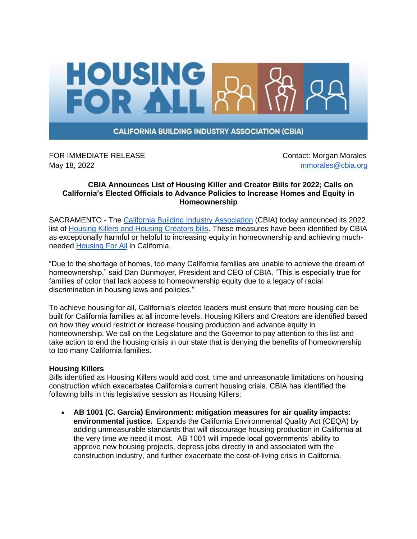

**CALIFORNIA BUILDING INDUSTRY ASSOCIATION (CBIA)** 

FOR IMMEDIATE RELEASE **CONTACT SERVICES** Contact: Morgan Morales May 18, 2022 **mmorales** @cbia.org

## **CBIA Announces List of Housing Killer and Creator Bills for 2022; Calls on California's Elected Officials to Advance Policies to Increase Homes and Equity in Homeownership**

SACRAMENTO - The [California Building Industry Association](https://cbia.org/) (CBIA) today announced its 2022 list of [Housing Killers and Housing Creators bills.](https://cbia.org/housing-killers-creators/) These measures have been identified by CBIA as exceptionally harmful or helpful to increasing equity in homeownership and achieving muchneeded [Housing For All](https://cbia.org/housing-for-all/) in California.

"Due to the shortage of homes, too many California families are unable to achieve the dream of homeownership," said Dan Dunmoyer, President and CEO of CBIA. "This is especially true for families of color that lack access to homeownership equity due to a legacy of racial discrimination in housing laws and policies."

To achieve housing for all, California's elected leaders must ensure that more housing can be built for California families at all income levels. Housing Killers and Creators are identified based on how they would restrict or increase housing production and advance equity in homeownership. We call on the Legislature and the Governor to pay attention to this list and take action to end the housing crisis in our state that is denying the benefits of homeownership to too many California families.

## **Housing Killers**

Bills identified as Housing Killers would add cost, time and unreasonable limitations on housing construction which exacerbates California's current housing crisis. CBIA has identified the following bills in this legislative session as Housing Killers:

• **AB 1001 (C. Garcia) Environment: mitigation measures for air quality impacts: environmental justice.** Expands the California Environmental Quality Act (CEQA) by adding unmeasurable standards that will discourage housing production in California at the very time we need it most. AB 1001 will impede local governments' ability to approve new housing projects, depress jobs directly in and associated with the construction industry, and further exacerbate the cost-of-living crisis in California.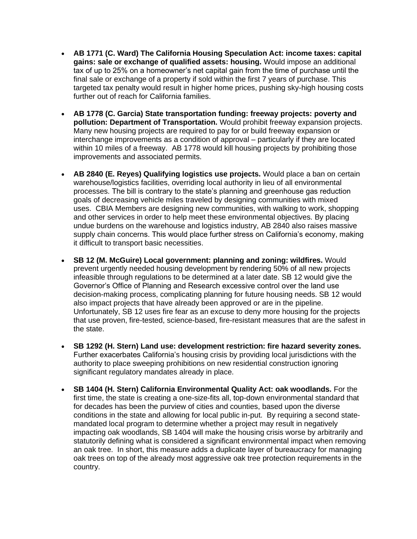- **AB 1771 (C. Ward) The California Housing Speculation Act: income taxes: capital gains: sale or exchange of qualified assets: housing.** Would impose an additional tax of up to 25% on a homeowner's net capital gain from the time of purchase until the final sale or exchange of a property if sold within the first 7 years of purchase. This targeted tax penalty would result in higher home prices, pushing sky-high housing costs further out of reach for California families.
- **AB 1778 (C. Garcia) State transportation funding: freeway projects: poverty and pollution: Department of Transportation.** Would prohibit freeway expansion projects. Many new housing projects are required to pay for or build freeway expansion or interchange improvements as a condition of approval – particularly if they are located within 10 miles of a freeway. AB 1778 would kill housing projects by prohibiting those improvements and associated permits.
- **AB 2840 (E. Reyes) Qualifying logistics use projects.** Would place a ban on certain warehouse/logistics facilities, overriding local authority in lieu of all environmental processes. The bill is contrary to the state's planning and greenhouse gas reduction goals of decreasing vehicle miles traveled by designing communities with mixed uses. CBIA Members are designing new communities, with walking to work, shopping and other services in order to help meet these environmental objectives. By placing undue burdens on the warehouse and logistics industry, AB 2840 also raises massive supply chain concerns. This would place further stress on California's economy, making it difficult to transport basic necessities.
- **SB 12 (M. McGuire) Local government: planning and zoning: wildfires.** Would prevent urgently needed housing development by rendering 50% of all new projects infeasible through regulations to be determined at a later date. SB 12 would give the Governor's Office of Planning and Research excessive control over the land use decision-making process, complicating planning for future housing needs. SB 12 would also impact projects that have already been approved or are in the pipeline. Unfortunately, SB 12 uses fire fear as an excuse to deny more housing for the projects that use proven, fire-tested, science-based, fire-resistant measures that are the safest in the state.
- **SB 1292 (H. Stern) Land use: development restriction: fire hazard severity zones.** Further exacerbates California's housing crisis by providing local jurisdictions with the authority to place sweeping prohibitions on new residential construction ignoring significant regulatory mandates already in place.
- **SB 1404 (H. Stern) California Environmental Quality Act: oak woodlands.** For the first time, the state is creating a one-size-fits all, top-down environmental standard that for decades has been the purview of cities and counties, based upon the diverse conditions in the state and allowing for local public in-put. By requiring a second statemandated local program to determine whether a project may result in negatively impacting oak woodlands, SB 1404 will make the housing crisis worse by arbitrarily and statutorily defining what is considered a significant environmental impact when removing an oak tree. In short, this measure adds a duplicate layer of bureaucracy for managing oak trees on top of the already most aggressive oak tree protection requirements in the country.